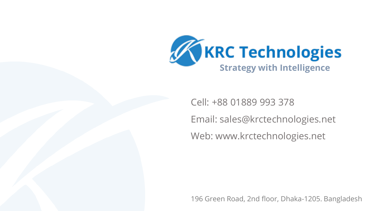

Cell: +88 01889 993 378 Email: sales@krctechnologies.net Web: www.krctechnologies.net

196 Green Road, 2nd floor, Dhaka-1205. Bangladesh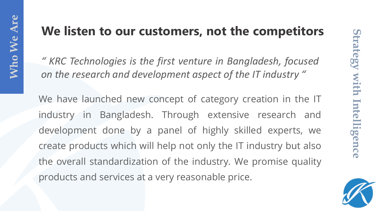# **We listen to our customers, not the competitors**

*" KRC Technologies is the first venture in Bangladesh, focused on the research and development aspect of the IT industry "*

We have launched new concept of category creation in the IT industry in Bangladesh. Through extensive research and development done by a panel of highly skilled experts, we create products which will help not only the IT industry but also the overall standardization of the industry. We promise quality products and services at a very reasonable price.

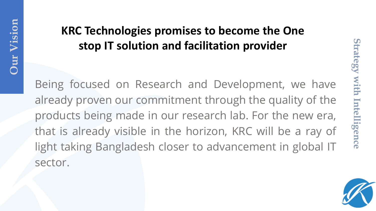# **KRC Technologies promises to become the One stop IT solution and facilitation provider**

Being focused on Research and Development, we have already proven our commitment through the quality of the products being made in our research lab. For the new era, that is already visible in the horizon, KRC will be a ray of light taking Bangladesh closer to advancement in global IT sector.

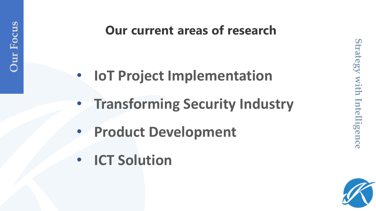# **Our current areas of research**

- **IoT Project Implementation**
- **Transforming Security Industry**
- **Product Development**
- **ICT Solution**

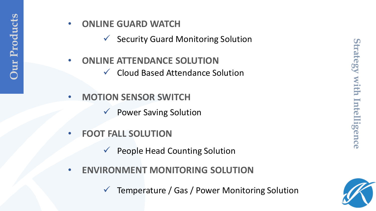## • **ONLINE GUARD WATCH**

✓ Security Guard Monitoring Solution

- **ONLINE ATTENDANCE SOLUTION** ✓ Cloud Based Attendance Solution
- **MOTION SENSOR SWITCH** 
	- **Power Saving Solution**
- **FOOT FALL SOLUTION** 
	- $\checkmark$  People Head Counting Solution
- **ENVIRONMENT MONITORING SOLUTION** 
	- Temperature / Gas / Power Monitoring Solution

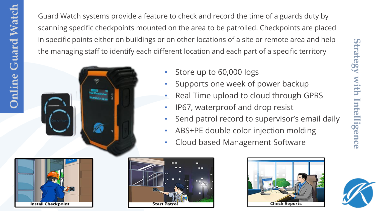Guard Watch systems provide a feature to check and record the time of a guards duty by scanning specific checkpoints mounted on the area to be patrolled. Checkpoints are placed in specific points either on buildings or on other locations of a site or remote area and help the managing staff to identify each different location and each part of a specific territory



- Store up to 60,000 logs
- Supports one week of power backup
- Real Time upload to cloud through GPRS
- IP67, waterproof and drop resist
- Send patrol record to supervisor's email daily
- ABS+PE double color injection molding
- Cloud based Management Software





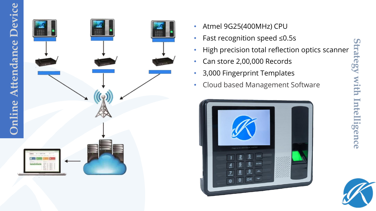

- Atmel 9G25(400MHz) CPU
- Fast recognition speed ≤0.5s
- High precision total reflection optics scanner
- Can store 2,00,000 Records
- 3,000 Fingerprint Templates
- Cloud based Management Software





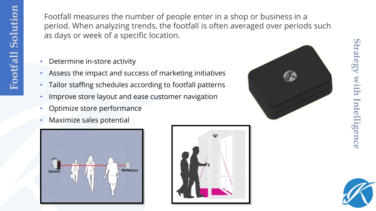Footfall measures the number of people enter in a shop or business in a period. When analyzing trends, the footfall is often averaged over periods such as days or week of a specific location.

- Determine in-store activity
- Assess the impact and success of marketing initiatives
- Tailor staffing schedules according to footfall patterns
- Improve store layout and ease customer navigation
- Optimize store performance
- Maximize sales potential







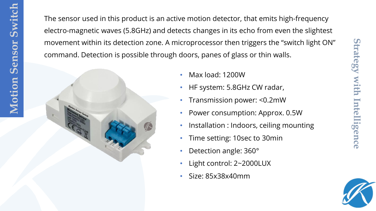The sensor used in this product is an active motion detector, that emits high-frequency electro-magnetic waves (5.8GHz) and detects changes in its echo from even the slightest movement within its detection zone. A microprocessor then triggers the "switch light ON" command. Detection is possible through doors, panes of glass or thin walls.



- Max load: 1200W
- HF system: 5.8GHz CW radar,
- Transmission power: <0.2mW
- Power consumption: Approx. 0.5W
- Installation : Indoors, ceiling mounting
- Time setting: 10sec to 30min
- Detection angle: 360°
- Light control: 2~2000LUX
- Size: 85x38x40mm



**Strategy with Intelligence**

gence

trategy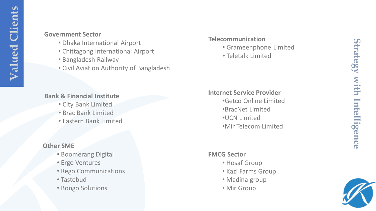#### **Government Sector**

- Dhaka International Airport
- Chittagong International Airport
- Bangladesh Railway
- Civil Aviation Authority of Bangladesh

### **Bank & Financial Institute**

- City Bank Limited
- Brac Bank Limited
- Eastern Bank Limited

### **Other SME**

- Boomerang Digital
- Ergo Ventures
- Rego Communications
- Tastebud
- Bongo Solutions

#### **Telecommunication**

- Grameenphone Limited
- Teletalk Limited

### **Internet Service Provider**

•Getco Online Limited •BracNet Limited •UCN Limited •Mir Telecom Limited

#### **FMCG Sector**

- Hosaf Group
- Kazi Farms Group
- Madina group
- Mir Group